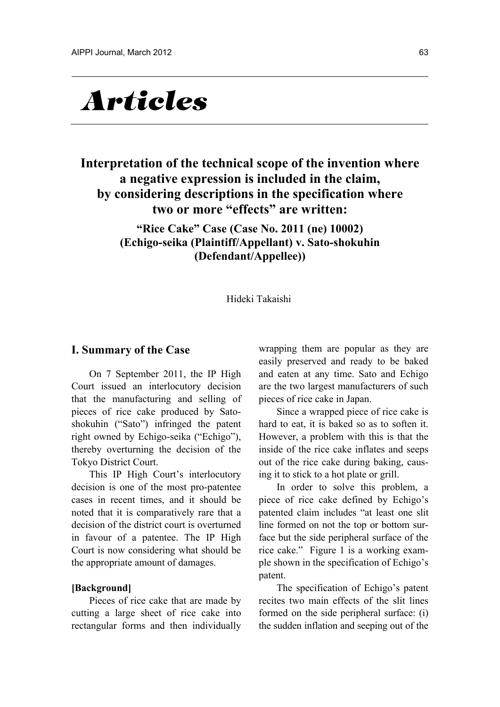# **Articles**

# **Interpretation of the technical scope of the invention where a negative expression is included in the claim, by considering descriptions in the specification where two or more "effects" are written:**

**"Rice Cake" Case (Case No. 2011 (ne) 10002) (Echigo-seika (Plaintiff/Appellant) v. Sato-shokuhin (Defendant/Appellee))** 

Hideki Takaishi

## **I. Summary of the Case**

On 7 September 2011, the IP High Court issued an interlocutory decision that the manufacturing and selling of pieces of rice cake produced by Satoshokuhin ("Sato") infringed the patent right owned by Echigo-seika ("Echigo"), thereby overturning the decision of the Tokyo District Court.

This IP High Court's interlocutory decision is one of the most pro-patentee cases in recent times, and it should be noted that it is comparatively rare that a decision of the district court is overturned in favour of a patentee. The IP High Court is now considering what should be the appropriate amount of damages.

#### **[Background]**

Pieces of rice cake that are made by cutting a large sheet of rice cake into rectangular forms and then individually wrapping them are popular as they are easily preserved and ready to be baked and eaten at any time. Sato and Echigo are the two largest manufacturers of such pieces of rice cake in Japan.

Since a wrapped piece of rice cake is hard to eat, it is baked so as to soften it. However, a problem with this is that the inside of the rice cake inflates and seeps out of the rice cake during baking, causing it to stick to a hot plate or grill.

In order to solve this problem, a piece of rice cake defined by Echigo's patented claim includes "at least one slit line formed on not the top or bottom surface but the side peripheral surface of the rice cake." Figure 1 is a working example shown in the specification of Echigo's patent.

The specification of Echigo's patent recites two main effects of the slit lines formed on the side peripheral surface: (i) the sudden inflation and seeping out of the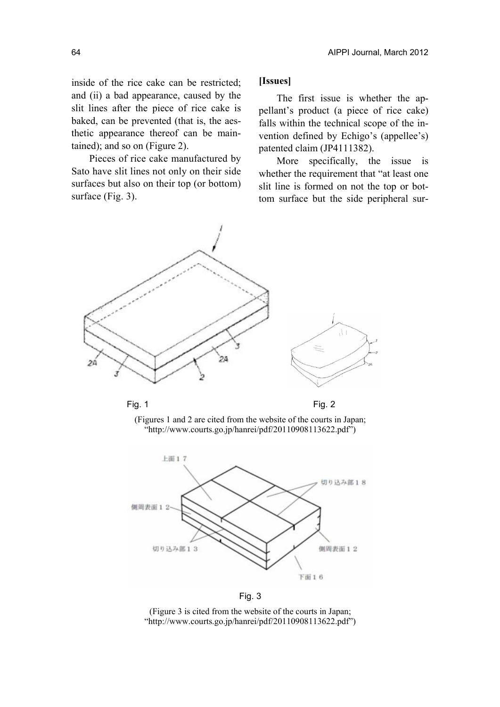inside of the rice cake can be restricted; and (ii) a bad appearance, caused by the slit lines after the piece of rice cake is baked, can be prevented (that is, the aesthetic appearance thereof can be maintained); and so on (Figure 2).

Pieces of rice cake manufactured by Sato have slit lines not only on their side surfaces but also on their top (or bottom) surface (Fig. 3).

## **[Issues]**

The first issue is whether the appellant's product (a piece of rice cake) falls within the technical scope of the invention defined by Echigo's (appellee's) patented claim (JP4111382).

More specifically, the issue is whether the requirement that "at least one slit line is formed on not the top or bottom surface but the side peripheral sur-



(Figures 1 and 2 are cited from the website of the courts in Japan; "http://www.courts.go.jp/hanrei/pdf/20110908113622.pdf")



Fig. 3

(Figure 3 is cited from the website of the courts in Japan; "http://www.courts.go.jp/hanrei/pdf/20110908113622.pdf")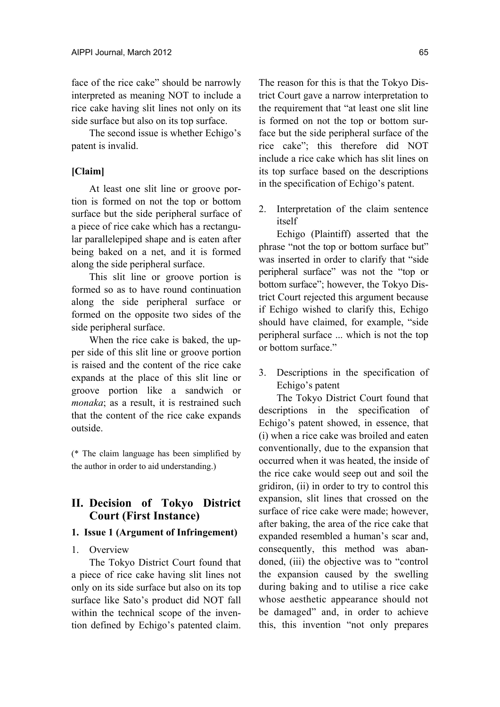face of the rice cake" should be narrowly interpreted as meaning NOT to include a rice cake having slit lines not only on its side surface but also on its top surface.

The second issue is whether Echigo's patent is invalid.

# **[Claim]**

At least one slit line or groove portion is formed on not the top or bottom surface but the side peripheral surface of a piece of rice cake which has a rectangular parallelepiped shape and is eaten after being baked on a net, and it is formed along the side peripheral surface.

This slit line or groove portion is formed so as to have round continuation along the side peripheral surface or formed on the opposite two sides of the side peripheral surface.

When the rice cake is baked, the upper side of this slit line or groove portion is raised and the content of the rice cake expands at the place of this slit line or groove portion like a sandwich or *monaka*; as a result, it is restrained such that the content of the rice cake expands outside.

(\* The claim language has been simplified by the author in order to aid understanding.)

# **II. Decision of Tokyo District Court (First Instance)**

#### **1. Issue 1 (Argument of Infringement)**

# 1. Overview

The Tokyo District Court found that a piece of rice cake having slit lines not only on its side surface but also on its top surface like Sato's product did NOT fall within the technical scope of the invention defined by Echigo's patented claim.

The reason for this is that the Tokyo District Court gave a narrow interpretation to the requirement that "at least one slit line is formed on not the top or bottom surface but the side peripheral surface of the rice cake"; this therefore did NOT include a rice cake which has slit lines on its top surface based on the descriptions in the specification of Echigo's patent.

2. Interpretation of the claim sentence itself

Echigo (Plaintiff) asserted that the phrase "not the top or bottom surface but" was inserted in order to clarify that "side peripheral surface" was not the "top or bottom surface"; however, the Tokyo District Court rejected this argument because if Echigo wished to clarify this, Echigo should have claimed, for example, "side peripheral surface ... which is not the top or bottom surface."

3. Descriptions in the specification of Echigo's patent

The Tokyo District Court found that descriptions in the specification of Echigo's patent showed, in essence, that (i) when a rice cake was broiled and eaten conventionally, due to the expansion that occurred when it was heated, the inside of the rice cake would seep out and soil the gridiron, (ii) in order to try to control this expansion, slit lines that crossed on the surface of rice cake were made; however, after baking, the area of the rice cake that expanded resembled a human's scar and, consequently, this method was abandoned, (iii) the objective was to "control the expansion caused by the swelling during baking and to utilise a rice cake whose aesthetic appearance should not be damaged" and, in order to achieve this, this invention "not only prepares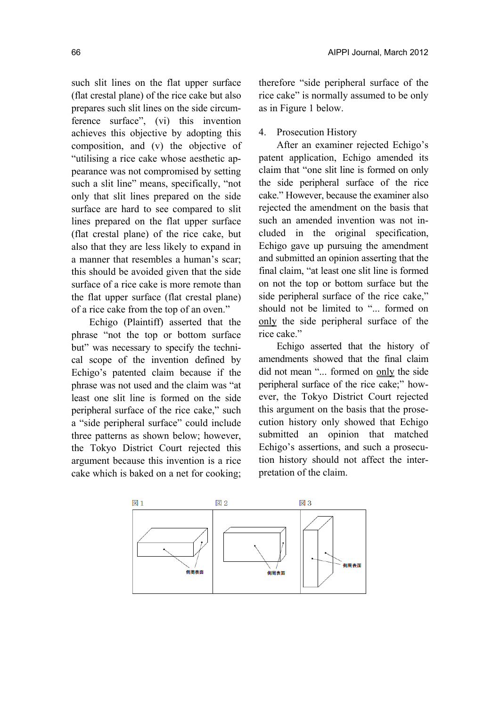such slit lines on the flat upper surface (flat crestal plane) of the rice cake but also prepares such slit lines on the side circumference surface", (vi) this invention achieves this objective by adopting this composition, and (v) the objective of "utilising a rice cake whose aesthetic appearance was not compromised by setting such a slit line" means, specifically, "not only that slit lines prepared on the side surface are hard to see compared to slit lines prepared on the flat upper surface (flat crestal plane) of the rice cake, but also that they are less likely to expand in a manner that resembles a human's scar; this should be avoided given that the side surface of a rice cake is more remote than the flat upper surface (flat crestal plane) of a rice cake from the top of an oven."

Echigo (Plaintiff) asserted that the phrase "not the top or bottom surface but" was necessary to specify the technical scope of the invention defined by Echigo's patented claim because if the phrase was not used and the claim was "at least one slit line is formed on the side peripheral surface of the rice cake," such a "side peripheral surface" could include three patterns as shown below; however, the Tokyo District Court rejected this argument because this invention is a rice cake which is baked on a net for cooking;

therefore "side peripheral surface of the rice cake" is normally assumed to be only as in Figure 1 below.

# 4. Prosecution History

After an examiner rejected Echigo's patent application, Echigo amended its claim that "one slit line is formed on only the side peripheral surface of the rice cake." However, because the examiner also rejected the amendment on the basis that such an amended invention was not included in the original specification, Echigo gave up pursuing the amendment and submitted an opinion asserting that the final claim, "at least one slit line is formed on not the top or bottom surface but the side peripheral surface of the rice cake," should not be limited to "... formed on only the side peripheral surface of the rice cake."

Echigo asserted that the history of amendments showed that the final claim did not mean "... formed on only the side peripheral surface of the rice cake;" however, the Tokyo District Court rejected this argument on the basis that the prosecution history only showed that Echigo submitted an opinion that matched Echigo's assertions, and such a prosecution history should not affect the interpretation of the claim.

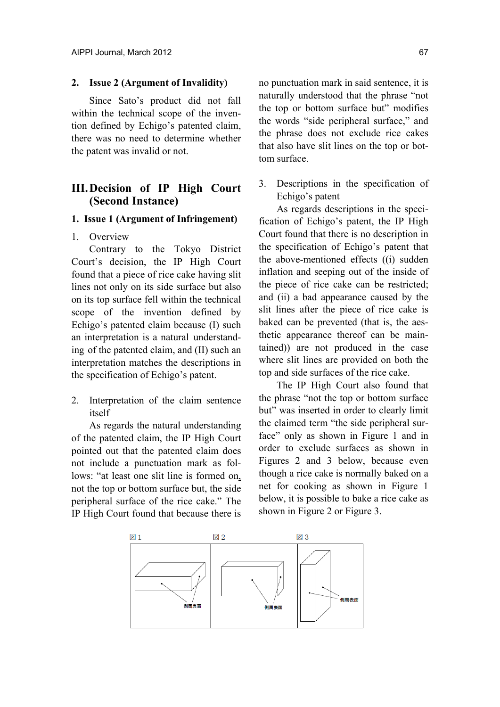#### **2. Issue 2 (Argument of Invalidity)**

Since Sato's product did not fall within the technical scope of the invention defined by Echigo's patented claim, there was no need to determine whether the patent was invalid or not.

# **III. Decision of IP High Court (Second Instance)**

# **1. Issue 1 (Argument of Infringement)**

#### 1. Overview

Contrary to the Tokyo District Court's decision, the IP High Court found that a piece of rice cake having slit lines not only on its side surface but also on its top surface fell within the technical scope of the invention defined by Echigo's patented claim because (I) such an interpretation is a natural understanding of the patented claim, and (II) such an interpretation matches the descriptions in the specification of Echigo's patent.

2. Interpretation of the claim sentence itself

As regards the natural understanding of the patented claim, the IP High Court pointed out that the patented claim does not include a punctuation mark as follows: "at least one slit line is formed on. not the top or bottom surface but, the side peripheral surface of the rice cake." The IP High Court found that because there is

no punctuation mark in said sentence, it is naturally understood that the phrase "not the top or bottom surface but" modifies the words "side peripheral surface," and the phrase does not exclude rice cakes that also have slit lines on the top or bottom surface.

3. Descriptions in the specification of Echigo's patent

As regards descriptions in the specification of Echigo's patent, the IP High Court found that there is no description in the specification of Echigo's patent that the above-mentioned effects ((i) sudden inflation and seeping out of the inside of the piece of rice cake can be restricted; and (ii) a bad appearance caused by the slit lines after the piece of rice cake is baked can be prevented (that is, the aesthetic appearance thereof can be maintained)) are not produced in the case where slit lines are provided on both the top and side surfaces of the rice cake.

The IP High Court also found that the phrase "not the top or bottom surface but" was inserted in order to clearly limit the claimed term "the side peripheral surface" only as shown in Figure 1 and in order to exclude surfaces as shown in Figures 2 and 3 below, because even though a rice cake is normally baked on a net for cooking as shown in Figure 1 below, it is possible to bake a rice cake as shown in Figure 2 or Figure 3.

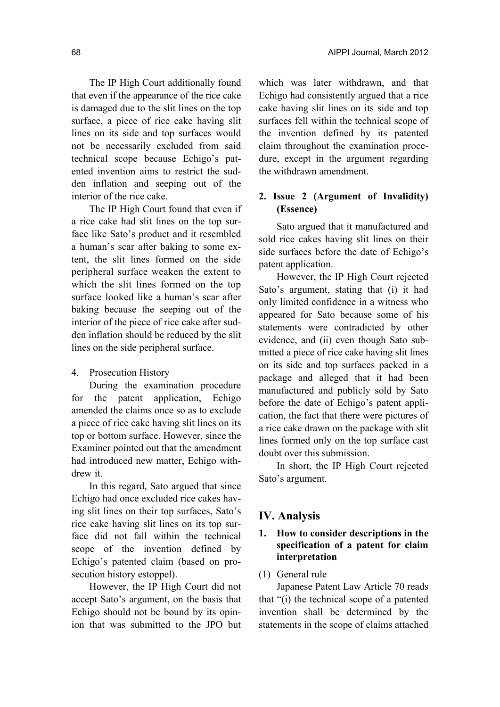The IP High Court additionally found that even if the appearance of the rice cake is damaged due to the slit lines on the top surface, a piece of rice cake having slit lines on its side and top surfaces would not be necessarily excluded from said technical scope because Echigo's patented invention aims to restrict the sudden inflation and seeping out of the interior of the rice cake.

The IP High Court found that even if a rice cake had slit lines on the top surface like Sato's product and it resembled a human's scar after baking to some extent, the slit lines formed on the side peripheral surface weaken the extent to which the slit lines formed on the top surface looked like a human's scar after baking because the seeping out of the interior of the piece of rice cake after sudden inflation should be reduced by the slit lines on the side peripheral surface.

# 4. Prosecution History

During the examination procedure for the patent application, Echigo amended the claims once so as to exclude a piece of rice cake having slit lines on its top or bottom surface. However, since the Examiner pointed out that the amendment had introduced new matter, Echigo withdrew it.

In this regard, Sato argued that since Echigo had once excluded rice cakes having slit lines on their top surfaces, Sato's rice cake having slit lines on its top surface did not fall within the technical scope of the invention defined by Echigo's patented claim (based on prosecution history estoppel).

However, the IP High Court did not accept Sato's argument, on the basis that Echigo should not be bound by its opinion that was submitted to the JPO but

which was later withdrawn, and that Echigo had consistently argued that a rice cake having slit lines on its side and top surfaces fell within the technical scope of the invention defined by its patented claim throughout the examination procedure, except in the argument regarding the withdrawn amendment.

# **2. Issue 2 (Argument of Invalidity) (Essence)**

Sato argued that it manufactured and sold rice cakes having slit lines on their side surfaces before the date of Echigo's patent application.

However, the IP High Court rejected Sato's argument, stating that (i) it had only limited confidence in a witness who appeared for Sato because some of his statements were contradicted by other evidence, and (ii) even though Sato submitted a piece of rice cake having slit lines on its side and top surfaces packed in a package and alleged that it had been manufactured and publicly sold by Sato before the date of Echigo's patent application, the fact that there were pictures of a rice cake drawn on the package with slit lines formed only on the top surface cast doubt over this submission.

In short, the IP High Court rejected Sato's argument.

# **IV. Analysis**

# **1. How to consider descriptions in the specification of a patent for claim interpretation**

# (1) General rule

Japanese Patent Law Article 70 reads that "(i) the technical scope of a patented invention shall be determined by the statements in the scope of claims attached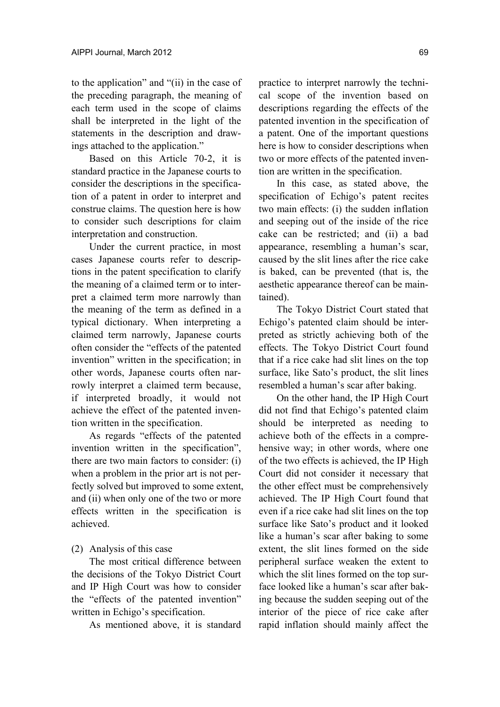to the application" and "(ii) in the case of the preceding paragraph, the meaning of each term used in the scope of claims shall be interpreted in the light of the statements in the description and drawings attached to the application."

Based on this Article 70-2, it is standard practice in the Japanese courts to consider the descriptions in the specification of a patent in order to interpret and construe claims. The question here is how to consider such descriptions for claim interpretation and construction.

Under the current practice, in most cases Japanese courts refer to descriptions in the patent specification to clarify the meaning of a claimed term or to interpret a claimed term more narrowly than the meaning of the term as defined in a typical dictionary. When interpreting a claimed term narrowly, Japanese courts often consider the "effects of the patented invention" written in the specification; in other words, Japanese courts often narrowly interpret a claimed term because, if interpreted broadly, it would not achieve the effect of the patented invention written in the specification.

As regards "effects of the patented invention written in the specification", there are two main factors to consider: (i) when a problem in the prior art is not perfectly solved but improved to some extent, and (ii) when only one of the two or more effects written in the specification is achieved.

(2) Analysis of this case

The most critical difference between the decisions of the Tokyo District Court and IP High Court was how to consider the "effects of the patented invention" written in Echigo's specification.

As mentioned above, it is standard

practice to interpret narrowly the technical scope of the invention based on descriptions regarding the effects of the patented invention in the specification of a patent. One of the important questions here is how to consider descriptions when two or more effects of the patented invention are written in the specification.

In this case, as stated above, the specification of Echigo's patent recites two main effects: (i) the sudden inflation and seeping out of the inside of the rice cake can be restricted; and (ii) a bad appearance, resembling a human's scar, caused by the slit lines after the rice cake is baked, can be prevented (that is, the aesthetic appearance thereof can be maintained).

The Tokyo District Court stated that Echigo's patented claim should be interpreted as strictly achieving both of the effects. The Tokyo District Court found that if a rice cake had slit lines on the top surface, like Sato's product, the slit lines resembled a human's scar after baking.

On the other hand, the IP High Court did not find that Echigo's patented claim should be interpreted as needing to achieve both of the effects in a comprehensive way; in other words, where one of the two effects is achieved, the IP High Court did not consider it necessary that the other effect must be comprehensively achieved. The IP High Court found that even if a rice cake had slit lines on the top surface like Sato's product and it looked like a human's scar after baking to some extent, the slit lines formed on the side peripheral surface weaken the extent to which the slit lines formed on the top surface looked like a human's scar after baking because the sudden seeping out of the interior of the piece of rice cake after rapid inflation should mainly affect the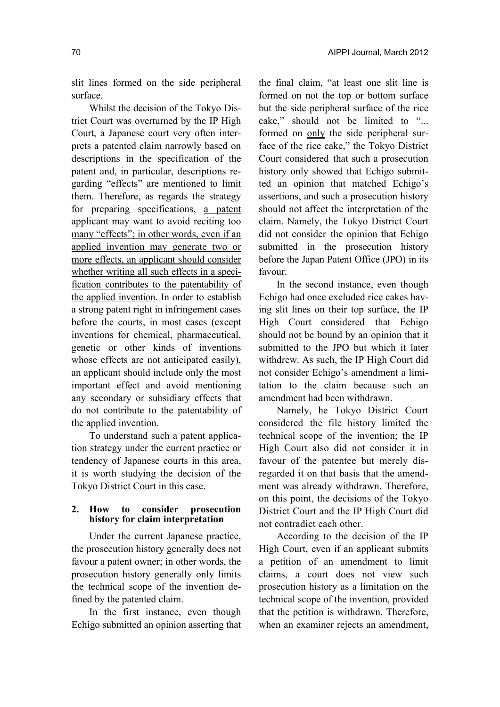slit lines formed on the side peripheral surface.

Whilst the decision of the Tokyo District Court was overturned by the IP High Court, a Japanese court very often interprets a patented claim narrowly based on descriptions in the specification of the patent and, in particular, descriptions regarding "effects" are mentioned to limit them. Therefore, as regards the strategy for preparing specifications, a patent applicant may want to avoid reciting too many "effects"; in other words, even if an applied invention may generate two or more effects, an applicant should consider whether writing all such effects in a specification contributes to the patentability of the applied invention. In order to establish a strong patent right in infringement cases before the courts, in most cases (except inventions for chemical, pharmaceutical, genetic or other kinds of inventions whose effects are not anticipated easily), an applicant should include only the most important effect and avoid mentioning any secondary or subsidiary effects that do not contribute to the patentability of the applied invention.

To understand such a patent application strategy under the current practice or tendency of Japanese courts in this area, it is worth studying the decision of the Tokyo District Court in this case.

#### **2. How to consider prosecution history for claim interpretation**

Under the current Japanese practice, the prosecution history generally does not favour a patent owner; in other words, the prosecution history generally only limits the technical scope of the invention defined by the patented claim.

In the first instance, even though Echigo submitted an opinion asserting that

the final claim, "at least one slit line is formed on not the top or bottom surface but the side peripheral surface of the rice cake," should not be limited to "... formed on only the side peripheral surface of the rice cake," the Tokyo District Court considered that such a prosecution history only showed that Echigo submitted an opinion that matched Echigo's assertions, and such a prosecution history should not affect the interpretation of the claim. Namely, the Tokyo District Court did not consider the opinion that Echigo submitted in the prosecution history before the Japan Patent Office (JPO) in its favour.

In the second instance, even though Echigo had once excluded rice cakes having slit lines on their top surface, the IP High Court considered that Echigo should not be bound by an opinion that it submitted to the JPO but which it later withdrew. As such, the IP High Court did not consider Echigo's amendment a limitation to the claim because such an amendment had been withdrawn.

Namely, he Tokyo District Court considered the file history limited the technical scope of the invention; the IP High Court also did not consider it in favour of the patentee but merely disregarded it on that basis that the amendment was already withdrawn. Therefore, on this point, the decisions of the Tokyo District Court and the IP High Court did not contradict each other.

According to the decision of the IP High Court, even if an applicant submits a petition of an amendment to limit claims, a court does not view such prosecution history as a limitation on the technical scope of the invention, provided that the petition is withdrawn. Therefore, when an examiner rejects an amendment,